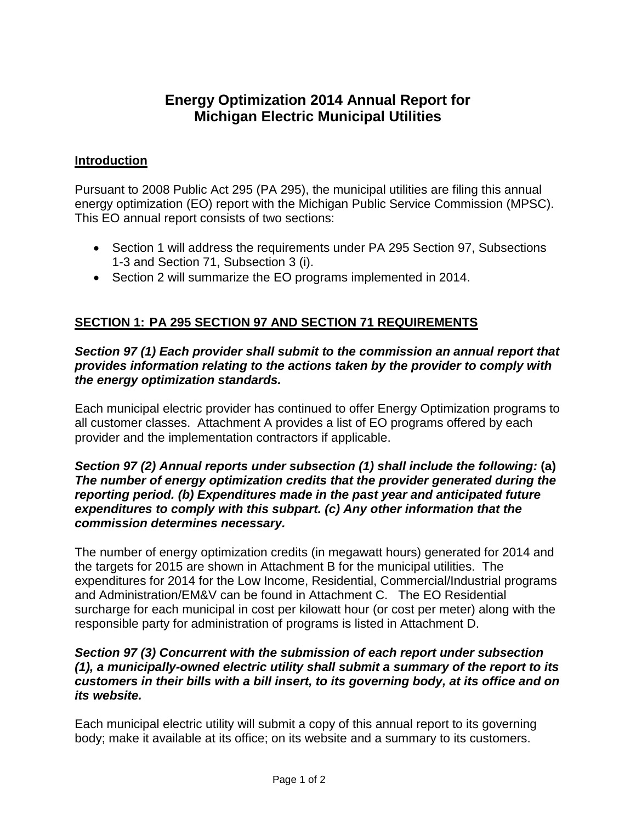# **Energy Optimization 2014 Annual Report for Michigan Electric Municipal Utilities**

## **Introduction**

Pursuant to 2008 Public Act 295 (PA 295), the municipal utilities are filing this annual energy optimization (EO) report with the Michigan Public Service Commission (MPSC). This EO annual report consists of two sections:

- Section 1 will address the requirements under PA 295 Section 97, Subsections 1-3 and Section 71, Subsection 3 (i).
- Section 2 will summarize the EO programs implemented in 2014.

## **SECTION 1: PA 295 SECTION 97 AND SECTION 71 REQUIREMENTS**

## *Section 97 (1) Each provider shall submit to the commission an annual report that provides information relating to the actions taken by the provider to comply with the energy optimization standards.*

Each municipal electric provider has continued to offer Energy Optimization programs to all customer classes. Attachment A provides a list of EO programs offered by each provider and the implementation contractors if applicable.

### *Section 97 (2) Annual reports under subsection (1) shall include the following:* **(a)**  *The number of energy optimization credits that the provider generated during the reporting period. (b) Expenditures made in the past year and anticipated future expenditures to comply with this subpart. (c) Any other information that the commission determines necessary.*

The number of energy optimization credits (in megawatt hours) generated for 2014 and the targets for 2015 are shown in Attachment B for the municipal utilities. The expenditures for 2014 for the Low Income, Residential, Commercial/Industrial programs and Administration/EM&V can be found in Attachment C. The EO Residential surcharge for each municipal in cost per kilowatt hour (or cost per meter) along with the responsible party for administration of programs is listed in Attachment D.

## *Section 97 (3) Concurrent with the submission of each report under subsection (1), a municipally-owned electric utility shall submit a summary of the report to its customers in their bills with a bill insert, to its governing body, at its office and on its website.*

Each municipal electric utility will submit a copy of this annual report to its governing body; make it available at its office; on its website and a summary to its customers.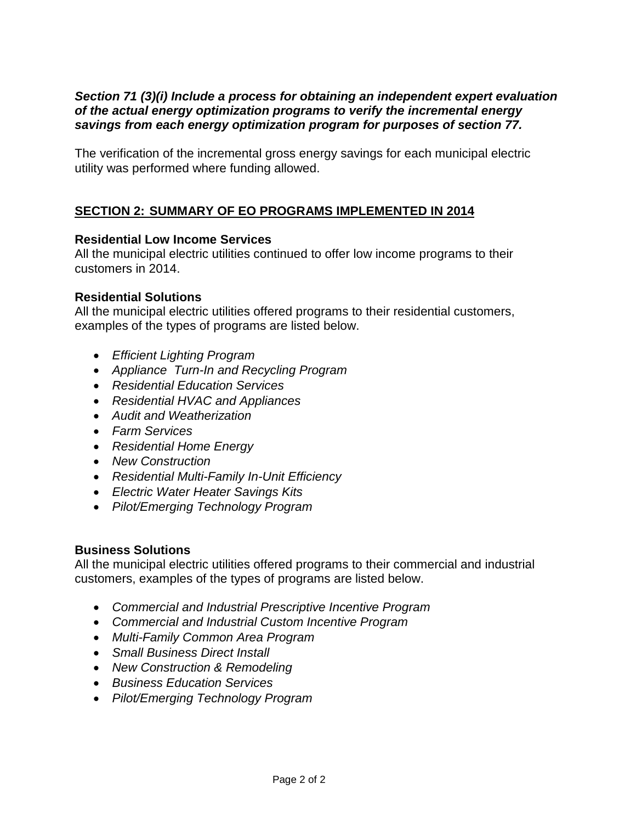## *Section 71 (3)(i) Include a process for obtaining an independent expert evaluation of the actual energy optimization programs to verify the incremental energy savings from each energy optimization program for purposes of section 77.*

The verification of the incremental gross energy savings for each municipal electric utility was performed where funding allowed.

## **SECTION 2: SUMMARY OF EO PROGRAMS IMPLEMENTED IN 2014**

### **Residential Low Income Services**

All the municipal electric utilities continued to offer low income programs to their customers in 2014.

### **Residential Solutions**

All the municipal electric utilities offered programs to their residential customers, examples of the types of programs are listed below.

- *Efficient Lighting Program*
- *Appliance Turn-In and Recycling Program*
- *Residential Education Services*
- *Residential HVAC and Appliances*
- *Audit and Weatherization*
- *Farm Services*
- *Residential Home Energy*
- *New Construction*
- *Residential Multi-Family In-Unit Efficiency*
- *Electric Water Heater Savings Kits*
- *Pilot/Emerging Technology Program*

#### **Business Solutions**

All the municipal electric utilities offered programs to their commercial and industrial customers, examples of the types of programs are listed below.

- *Commercial and Industrial Prescriptive Incentive Program*
- *Commercial and Industrial Custom Incentive Program*
- *Multi-Family Common Area Program*
- *Small Business Direct Install*
- *New Construction & Remodeling*
- *Business Education Services*
- *Pilot/Emerging Technology Program*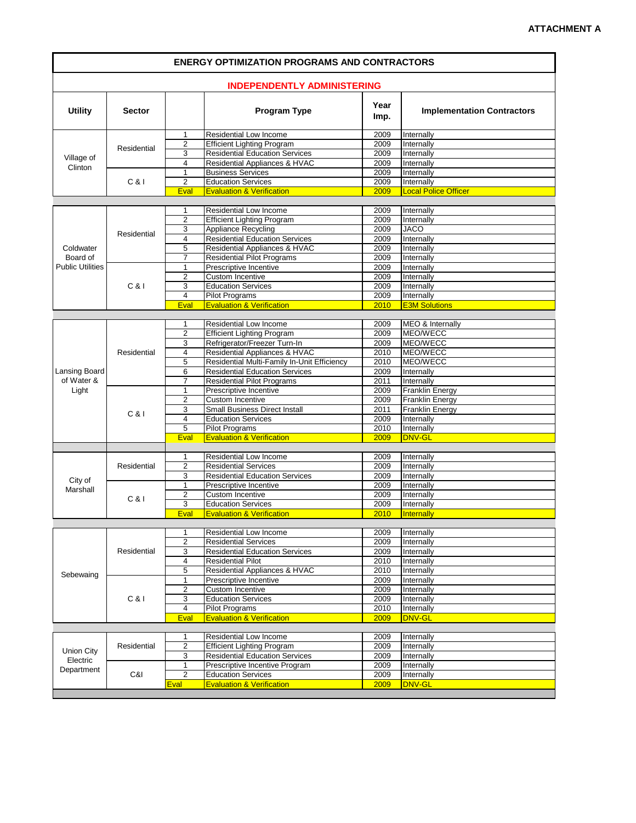| <b>INDEPENDENTLY ADMINISTERING</b> |                      |                |                                                             |              |                                   |  |  |
|------------------------------------|----------------------|----------------|-------------------------------------------------------------|--------------|-----------------------------------|--|--|
| <b>Utility</b>                     | <b>Sector</b>        |                | <b>Program Type</b>                                         | Year<br>Imp. | <b>Implementation Contractors</b> |  |  |
|                                    |                      | 1              | Residential Low Income                                      | 2009         | Internally                        |  |  |
|                                    | Residential          | $\overline{2}$ | <b>Efficient Lighting Program</b>                           | 2009         | Internally                        |  |  |
| Village of                         |                      | 3              | <b>Residential Education Services</b>                       | 2009         | Internally                        |  |  |
| Clinton                            |                      | 4              | Residential Appliances & HVAC                               | 2009         | Internally                        |  |  |
|                                    |                      | 1              | <b>Business Services</b>                                    | 2009         | Internally                        |  |  |
|                                    | $C_8$                | 2              | <b>Education Services</b>                                   | 2009         | Internally                        |  |  |
|                                    |                      | Eval           | <b>Evaluation &amp; Verification</b>                        | 2009         | <b>Local Police Officer</b>       |  |  |
|                                    |                      | 1              | Residential Low Income                                      | 2009         | Internally                        |  |  |
|                                    |                      | 2              | <b>Efficient Lighting Program</b>                           | 2009         | Internally                        |  |  |
|                                    |                      | 3              | <b>Appliance Recycling</b>                                  | 2009         | <b>JACO</b>                       |  |  |
|                                    | Residential          | $\overline{4}$ | <b>Residential Education Services</b>                       | 2009         | Internally                        |  |  |
| Coldwater                          |                      | 5              | Residential Appliances & HVAC                               | 2009         | Internally                        |  |  |
| Board of                           |                      | 7              | <b>Residential Pilot Programs</b>                           | 2009         | Internally                        |  |  |
| <b>Public Utilities</b>            |                      | $\mathbf{1}$   | Prescriptive Incentive                                      | 2009         | Internally                        |  |  |
|                                    |                      | $\overline{2}$ | <b>Custom Incentive</b>                                     | 2009         | Internally                        |  |  |
|                                    | $C_8$                | 3              | <b>Education Services</b>                                   | 2009         | Internally                        |  |  |
|                                    |                      | 4              | <b>Pilot Programs</b>                                       | 2009         | Internally                        |  |  |
|                                    |                      | Eval           | <b>Evaluation &amp; Verification</b>                        | 2010         | <b>E3M Solutions</b>              |  |  |
|                                    |                      |                |                                                             |              |                                   |  |  |
|                                    |                      | 1              | Residential Low Income                                      | 2009         | MEO & Internally                  |  |  |
|                                    |                      | 2              | <b>Efficient Lighting Program</b>                           | 2009         | MEO/WECC                          |  |  |
|                                    | Residential<br>$C_8$ | 3              | Refrigerator/Freezer Turn-In                                | 2009         | MEO/WECC                          |  |  |
|                                    |                      | 4              | Residential Appliances & HVAC                               | 2010         | MEO/WECC                          |  |  |
|                                    |                      | 5              | Residential Multi-Family In-Unit Efficiency                 | 2010         | MEO/WECC                          |  |  |
| Lansing Board                      |                      | 6              | <b>Residential Education Services</b>                       | 2009         | Internally                        |  |  |
| of Water &                         |                      | $\overline{7}$ | <b>Residential Pilot Programs</b>                           | 2011         | Internally                        |  |  |
| Light                              |                      | 1              | Prescriptive Incentive                                      | 2009         | <b>Franklin Energy</b>            |  |  |
|                                    |                      | 2              | Custom Incentive                                            | 2009         | Franklin Energy                   |  |  |
|                                    |                      | 3              | <b>Small Business Direct Install</b>                        | 2011         | <b>Franklin Energy</b>            |  |  |
|                                    |                      | 4              | <b>Education Services</b>                                   | 2009         | Internally                        |  |  |
|                                    |                      | 5              | <b>Pilot Programs</b>                                       | 2010         | Internally                        |  |  |
|                                    |                      | Eval           | <b>Evaluation &amp; Verification</b>                        | 2009         | <b>DNV-GL</b>                     |  |  |
|                                    |                      | 1              | Residential Low Income                                      | 2009         | Internally                        |  |  |
|                                    | Residential          | $\overline{2}$ | <b>Residential Services</b>                                 | 2009         | Internally                        |  |  |
|                                    |                      | 3              | <b>Residential Education Services</b>                       | 2009         | Internally                        |  |  |
| City of                            |                      | $\mathbf{1}$   | Prescriptive Incentive                                      | 2009         | Internally                        |  |  |
| Marshall                           |                      | 2              | Custom Incentive                                            | 2009         | Internally                        |  |  |
|                                    | C & 1                | 3              | <b>Education Services</b>                                   | 2009         | Internally                        |  |  |
|                                    |                      | Eval           | <b>Evaluation &amp; Verification</b>                        | 2010         | Internally                        |  |  |
|                                    |                      |                |                                                             |              |                                   |  |  |
|                                    |                      | 1              | Residential Low Income                                      | 2009         | Internally                        |  |  |
|                                    |                      | $\overline{2}$ | <b>Residential Services</b>                                 | 2009         | Internally                        |  |  |
|                                    | Residential          | 3              | <b>Residential Education Services</b>                       | 2009         | Internally                        |  |  |
|                                    |                      | 4              | <b>Residential Pilot</b>                                    | 2010         | Internally                        |  |  |
| Sebewaing                          |                      | 5              | Residential Appliances & HVAC                               | 2010         | Internally                        |  |  |
|                                    |                      | 1              | Prescriptive Incentive                                      | 2009         | Internally                        |  |  |
|                                    |                      | 2              | Custom Incentive                                            | 2009         | Internally                        |  |  |
|                                    | $C$ & $I$            | 3              | <b>Education Services</b>                                   | 2009         | Internally                        |  |  |
|                                    |                      | $\overline{4}$ | <b>Pilot Programs</b>                                       | 2010         | Internally                        |  |  |
|                                    |                      | Eval           | <b>Evaluation &amp; Verification</b>                        | 2009         | <b>DNV-GL</b>                     |  |  |
|                                    |                      |                |                                                             | 2009         | Internally                        |  |  |
|                                    |                      |                |                                                             |              |                                   |  |  |
|                                    |                      | 1              | Residential Low Income                                      |              |                                   |  |  |
| Union City                         | Residential          | 2              | <b>Efficient Lighting Program</b>                           | 2009         | Internally                        |  |  |
| Electric                           |                      | 3              | <b>Residential Education Services</b>                       | 2009         | Internally                        |  |  |
| Department                         | C&I                  | 1<br>2         | Prescriptive Incentive Program<br><b>Education Services</b> | 2009<br>2009 | Internally<br>Internally          |  |  |

Ť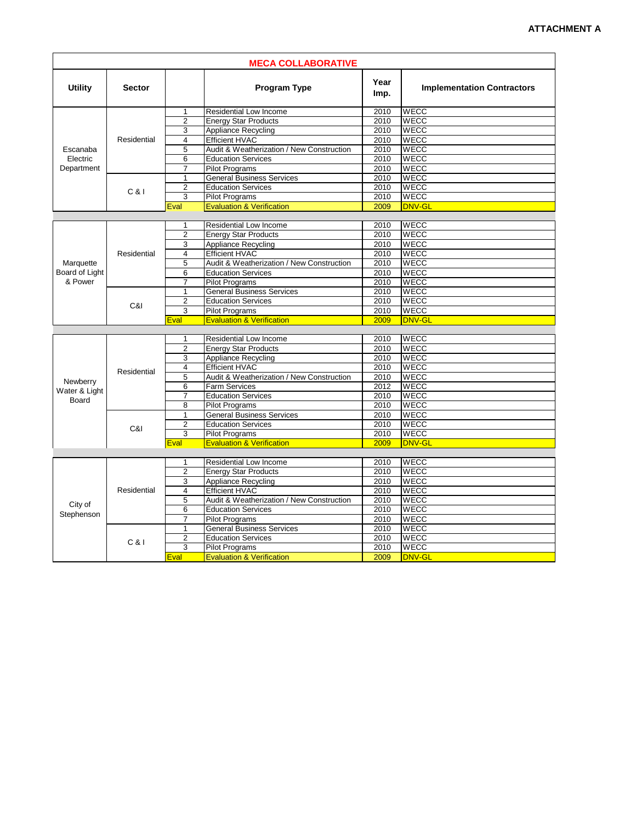| <b>MECA COLLABORATIVE</b>          |               |                |                                           |              |                                   |  |  |
|------------------------------------|---------------|----------------|-------------------------------------------|--------------|-----------------------------------|--|--|
| <b>Utility</b>                     | <b>Sector</b> |                | <b>Program Type</b>                       | Year<br>Imp. | <b>Implementation Contractors</b> |  |  |
|                                    |               | 1              | Residential Low Income                    | 2010         | <b>WECC</b>                       |  |  |
|                                    |               | $\overline{2}$ | <b>Energy Star Products</b>               | 2010         | <b>WECC</b>                       |  |  |
| Escanaba<br>Electric<br>Department |               | 3              | Appliance Recycling                       | 2010         | <b>WECC</b>                       |  |  |
|                                    | Residential   | 4              | <b>Efficient HVAC</b>                     | 2010         | <b>WECC</b>                       |  |  |
|                                    |               | 5              | Audit & Weatherization / New Construction | 2010         | <b>WECC</b>                       |  |  |
|                                    |               | 6              | <b>Education Services</b>                 | 2010         | <b>WECC</b>                       |  |  |
|                                    |               | $\overline{7}$ | <b>Pilot Programs</b>                     | 2010         | <b>WECC</b>                       |  |  |
|                                    |               | $\mathbf{1}$   | <b>General Business Services</b>          | 2010         | <b>WECC</b>                       |  |  |
|                                    | C &           | 2              | <b>Education Services</b>                 | 2010         | <b>WECC</b>                       |  |  |
|                                    |               | 3              | <b>Pilot Programs</b>                     | 2010         | <b>WECC</b>                       |  |  |
|                                    |               | Eval           | Evaluation & Verification                 | 2009         | <b>DNV-GL</b>                     |  |  |
|                                    |               |                |                                           |              |                                   |  |  |
|                                    |               | 1              | Residential Low Income                    | 2010         | <b>WECC</b>                       |  |  |
|                                    |               | $\overline{2}$ | <b>Energy Star Products</b>               | 2010         | <b>WECC</b>                       |  |  |
|                                    |               | 3              | Appliance Recycling                       | 2010         | <b>WECC</b>                       |  |  |
|                                    | Residential   | 4              | <b>Efficient HVAC</b>                     | 2010         | <b>WECC</b>                       |  |  |
| Marquette                          |               | 5              | Audit & Weatherization / New Construction | 2010         | <b>WECC</b>                       |  |  |
| Board of Light                     |               | 6              | <b>Education Services</b>                 | 2010         | <b>WECC</b>                       |  |  |
| & Power                            |               | $\overline{7}$ | <b>Pilot Programs</b>                     | 2010         | <b>WECC</b>                       |  |  |
|                                    |               | 1              | <b>General Business Services</b>          | 2010         | <b>WECC</b>                       |  |  |
|                                    | C&I           | $\overline{2}$ | <b>Education Services</b>                 | 2010         | <b>WECC</b>                       |  |  |
|                                    |               | 3              | <b>Pilot Programs</b>                     | 2010         | <b>WECC</b>                       |  |  |
|                                    |               | Eval           | <b>Evaluation &amp; Verification</b>      | 2009         | <b>DNV-GL</b>                     |  |  |
|                                    |               |                |                                           |              |                                   |  |  |
|                                    |               | 1              | Residential Low Income                    | 2010         | <b>WECC</b>                       |  |  |
|                                    |               | $\overline{2}$ | <b>Energy Star Products</b>               | 2010         | <b>WECC</b>                       |  |  |
|                                    |               | 3              | <b>Appliance Recycling</b>                | 2010         | <b>WECC</b>                       |  |  |
|                                    | Residential   | 4              | <b>Efficient HVAC</b>                     | 2010         | <b>WECC</b>                       |  |  |
| Newberry                           |               | 5              | Audit & Weatherization / New Construction | 2010         | <b>WECC</b>                       |  |  |
| Water & Light                      |               | 6              | <b>Farm Services</b>                      | 2012         | <b>WECC</b>                       |  |  |
| Board                              |               | 7              | <b>Education Services</b>                 | 2010         | <b>WECC</b>                       |  |  |
|                                    |               | 8              | <b>Pilot Programs</b>                     | 2010         | <b>WECC</b>                       |  |  |
|                                    |               | 1              | <b>General Business Services</b>          | 2010         | <b>WECC</b>                       |  |  |
|                                    | C&I           | 2              | <b>Education Services</b>                 | 2010         | <b>WECC</b>                       |  |  |
|                                    |               | 3              | <b>Pilot Programs</b>                     | 2010         | <b>WECC</b>                       |  |  |
|                                    |               | Eval           | <b>Evaluation &amp; Verification</b>      | 2009         | <b>DNV-GL</b>                     |  |  |
|                                    |               |                |                                           |              |                                   |  |  |
|                                    |               | 1              | Residential Low Income                    | 2010         | <b>WECC</b>                       |  |  |
|                                    |               | 2              | <b>Energy Star Products</b>               | 2010         | <b>WECC</b>                       |  |  |
|                                    |               | 3              | <b>Appliance Recycling</b>                | 2010         | <b>WECC</b>                       |  |  |
|                                    | Residential   | 4              | <b>Efficient HVAC</b>                     | 2010         | <b>WECC</b>                       |  |  |
| City of                            |               | 5              | Audit & Weatherization / New Construction | 2010         | <b>WECC</b>                       |  |  |
| Stephenson                         |               | 6              | <b>Education Services</b>                 | 2010         | <b>WECC</b>                       |  |  |
|                                    |               | 7              | <b>Pilot Programs</b>                     | 2010         | <b>WECC</b>                       |  |  |
|                                    |               |                | <b>General Business Services</b>          | 2010         | <b>WECC</b>                       |  |  |
|                                    | C &           | 2              | <b>Education Services</b>                 | 2010         | <b>WECC</b>                       |  |  |
|                                    |               | 3              | <b>Pilot Programs</b>                     | 2010         | <b>WECC</b>                       |  |  |
|                                    |               | Eval           | <b>Evaluation &amp; Verification</b>      | 2009         | <b>DNV-GL</b>                     |  |  |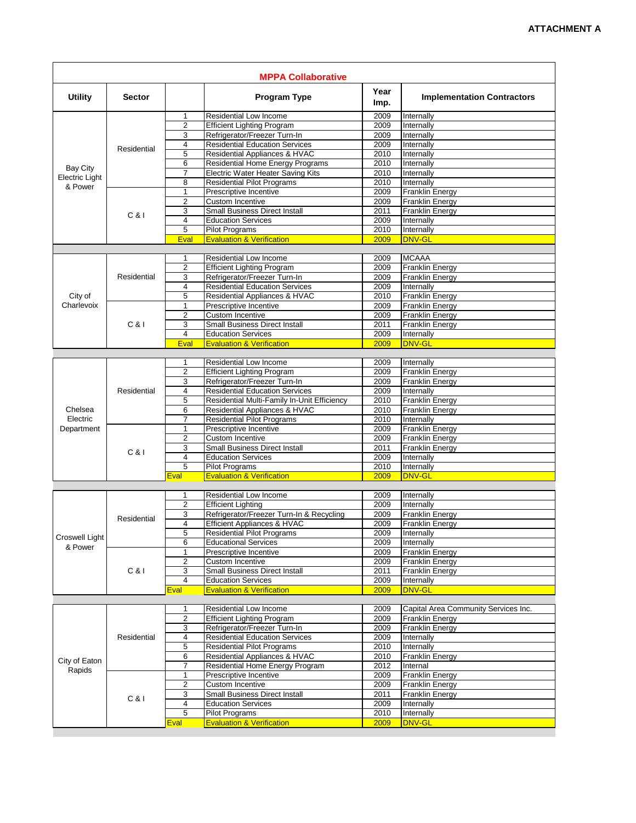|                                   | <b>MPPA Collaborative</b> |                     |                                                                              |              |                                                  |  |  |  |
|-----------------------------------|---------------------------|---------------------|------------------------------------------------------------------------------|--------------|--------------------------------------------------|--|--|--|
| <b>Utility</b>                    | <b>Sector</b>             |                     | <b>Program Type</b>                                                          | Year<br>Imp. | <b>Implementation Contractors</b>                |  |  |  |
|                                   |                           | 1                   | Residential Low Income                                                       | 2009         | Internally                                       |  |  |  |
|                                   |                           | 2                   | <b>Efficient Lighting Program</b>                                            | 2009         | Internally                                       |  |  |  |
|                                   |                           | 3                   | Refrigerator/Freezer Turn-In                                                 | 2009         | Internally                                       |  |  |  |
|                                   | Residential               | $\overline{4}$      | <b>Residential Education Services</b>                                        | 2009         | Internally                                       |  |  |  |
|                                   |                           | 5<br>6              | Residential Appliances & HVAC<br><b>Residential Home Energy Programs</b>     | 2010<br>2010 | Internally<br>Internally                         |  |  |  |
| Bay City<br><b>Electric Light</b> |                           | 7                   | <b>Electric Water Heater Saving Kits</b>                                     | 2010         | Internally                                       |  |  |  |
|                                   |                           | 8                   | <b>Residential Pilot Programs</b>                                            | 2010         | Internally                                       |  |  |  |
| & Power                           |                           | 1                   | Prescriptive Incentive                                                       | 2009         | <b>Franklin Energy</b>                           |  |  |  |
|                                   |                           | $\overline{2}$      | Custom Incentive                                                             | 2009         | Franklin Energy                                  |  |  |  |
|                                   | C &                       | 3                   | <b>Small Business Direct Install</b>                                         | 2011         | <b>Franklin Energy</b>                           |  |  |  |
|                                   |                           | 4                   | <b>Education Services</b>                                                    | 2009         | Internally                                       |  |  |  |
|                                   |                           | 5                   | <b>Pilot Programs</b>                                                        | 2010         | Internally                                       |  |  |  |
|                                   |                           | Eval                | <b>Evaluation &amp; Verification</b>                                         | 2009         | <b>DNV-GL</b>                                    |  |  |  |
|                                   |                           | 1                   | Residential Low Income                                                       | 2009         | <b>MCAAA</b>                                     |  |  |  |
|                                   |                           | 2                   | <b>Efficient Lighting Program</b>                                            | 2009         | <b>Franklin Energy</b>                           |  |  |  |
|                                   | Residential               | 3                   | Refrigerator/Freezer Turn-In                                                 | 2009         | Franklin Energy                                  |  |  |  |
|                                   |                           | 4                   | <b>Residential Education Services</b>                                        | 2009         | Internally                                       |  |  |  |
| City of                           |                           | 5                   | Residential Appliances & HVAC                                                | 2010         | <b>Franklin Energy</b>                           |  |  |  |
| Charlevoix                        |                           | $\mathbf{1}$        | Prescriptive Incentive                                                       | 2009         | <b>Franklin Energy</b>                           |  |  |  |
|                                   |                           | $\overline{2}$<br>3 | Custom Incentive                                                             | 2009         | <b>Franklin Energy</b><br><b>Franklin Energy</b> |  |  |  |
|                                   | C &                       | 4                   | <b>Small Business Direct Install</b><br><b>Education Services</b>            | 2011<br>2009 | Internally                                       |  |  |  |
|                                   |                           | Eval                | <b>Evaluation &amp; Verification</b>                                         | 2009         | <b>DNV-GL</b>                                    |  |  |  |
|                                   |                           |                     |                                                                              |              |                                                  |  |  |  |
|                                   | Residential               | $\mathbf{1}$        | Residential Low Income                                                       | 2009         | Internally                                       |  |  |  |
|                                   |                           | 2                   | <b>Efficient Lighting Program</b>                                            | 2009         | <b>Franklin Energy</b>                           |  |  |  |
|                                   |                           | 3                   | Refrigerator/Freezer Turn-In                                                 | 2009         | Franklin Energy                                  |  |  |  |
|                                   |                           | 4                   | <b>Residential Education Services</b>                                        | 2009         | Internally                                       |  |  |  |
|                                   |                           | 5<br>6              | Residential Multi-Family In-Unit Efficiency<br>Residential Appliances & HVAC | 2010<br>2010 | <b>Franklin Energy</b><br><b>Franklin Energy</b> |  |  |  |
| Chelsea<br>Electric               |                           | 7                   | <b>Residential Pilot Programs</b>                                            | 2010         | Internally                                       |  |  |  |
| Department                        |                           | 1                   | Prescriptive Incentive                                                       | 2009         | <b>Franklin Energy</b>                           |  |  |  |
|                                   |                           | $\overline{2}$      | Custom Incentive                                                             | 2009         | Franklin Energy                                  |  |  |  |
|                                   | C &                       | 3                   | <b>Small Business Direct Install</b>                                         | 2011         | <b>Franklin Energy</b>                           |  |  |  |
|                                   |                           | 4                   | <b>Education Services</b>                                                    | 2009         | Internally                                       |  |  |  |
|                                   |                           | 5                   | <b>Pilot Programs</b>                                                        | 2010         | Internally                                       |  |  |  |
|                                   |                           | Eval                | <b>Evaluation &amp; Verification</b>                                         | 2009         | <b>DNV-GL</b>                                    |  |  |  |
|                                   |                           | 1                   | Residential Low Income                                                       | 2009         | Internally                                       |  |  |  |
|                                   |                           | $\overline{2}$      | <b>Efficient Lighting</b>                                                    | 2009         | Internally                                       |  |  |  |
|                                   |                           | 3                   | Refrigerator/Freezer Turn-In & Recycling                                     | 2009         | Franklin Energy                                  |  |  |  |
|                                   | Residential               | 4                   | Efficient Appliances & HVAC                                                  | 2009         | <b>Franklin Energy</b>                           |  |  |  |
| Croswell Light                    |                           | 5                   | <b>Residential Pilot Programs</b>                                            | 2009         | Internally                                       |  |  |  |
| & Power                           |                           | 6                   | <b>Educational Services</b>                                                  | 2009         | Internally                                       |  |  |  |
|                                   |                           | 1                   | Prescriptive Incentive                                                       | 2009         | Franklin Energy                                  |  |  |  |
|                                   | C &                       | $\overline{2}$<br>3 | Custom Incentive<br><b>Small Business Direct Install</b>                     | 2009<br>2011 | Franklin Energy<br><b>Franklin Energy</b>        |  |  |  |
|                                   |                           | 4                   | <b>Education Services</b>                                                    | 2009         | Internally                                       |  |  |  |
|                                   |                           | Eval                | <b>Evaluation &amp; Verification</b>                                         | 2009         | <b>DNV-GL</b>                                    |  |  |  |
|                                   |                           |                     |                                                                              |              |                                                  |  |  |  |
|                                   |                           | 1                   | <b>Residential Low Income</b>                                                | 2009         | Capital Area Community Services Inc.             |  |  |  |
|                                   |                           | 2                   | <b>Efficient Lighting Program</b>                                            | 2009         | Franklin Energy                                  |  |  |  |
|                                   |                           | 3<br>4              | Refrigerator/Freezer Turn-In<br><b>Residential Education Services</b>        | 2009         | Franklin Energy                                  |  |  |  |
|                                   | Residential               | 5                   | <b>Residential Pilot Programs</b>                                            | 2009<br>2010 | Internally<br>Internally                         |  |  |  |
|                                   |                           | 6                   | Residential Appliances & HVAC                                                | 2010         | <b>Franklin Energy</b>                           |  |  |  |
| City of Eaton                     |                           | 7                   | Residential Home Energy Program                                              | 2012         | Internal                                         |  |  |  |
| Rapids                            |                           | 1                   | Prescriptive Incentive                                                       | 2009         | Franklin Energy                                  |  |  |  |
|                                   |                           | 2                   | Custom Incentive                                                             | 2009         | Franklin Energy                                  |  |  |  |
|                                   | C &                       | 3                   | <b>Small Business Direct Install</b>                                         | 2011         | <b>Franklin Energy</b>                           |  |  |  |
|                                   |                           | $\overline{4}$      | <b>Education Services</b>                                                    | 2009         | Internally                                       |  |  |  |
|                                   |                           | 5                   | <b>Pilot Programs</b>                                                        | 2010         | Internally                                       |  |  |  |
|                                   |                           | Eval                | <b>Evaluation &amp; Verification</b>                                         | 2009         | <b>DNV-GL</b>                                    |  |  |  |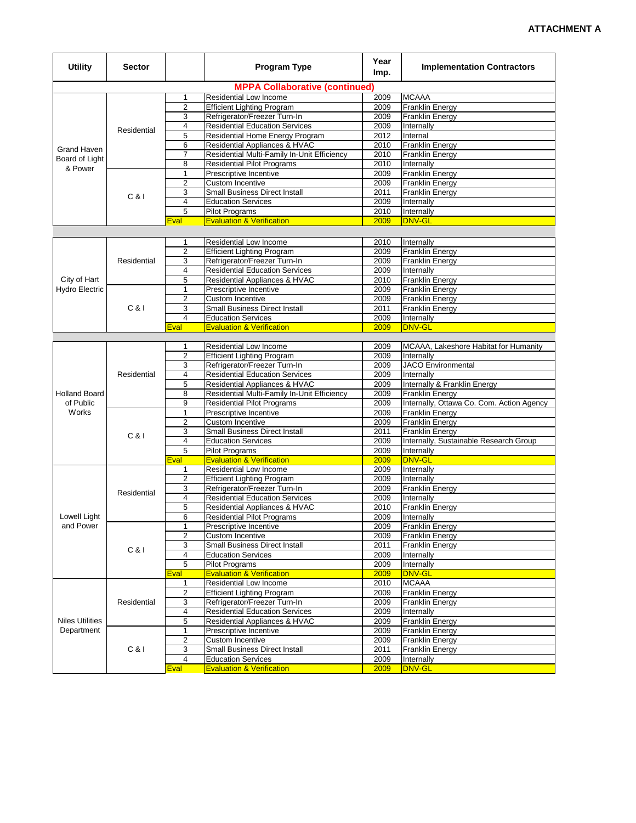| <b>Utility</b>                        | <b>Sector</b> |                         | <b>Program Type</b>                                                      | Year<br>Imp. | <b>Implementation Contractors</b>         |  |  |  |  |
|---------------------------------------|---------------|-------------------------|--------------------------------------------------------------------------|--------------|-------------------------------------------|--|--|--|--|
| <b>MPPA Collaborative (continued)</b> |               |                         |                                                                          |              |                                           |  |  |  |  |
|                                       |               |                         | Residential Low Income                                                   | 2009         | <b>MCAAA</b>                              |  |  |  |  |
|                                       |               | $\overline{2}$          | <b>Efficient Lighting Program</b>                                        | 2009         | <b>Franklin Energy</b>                    |  |  |  |  |
|                                       |               | 3                       | Refrigerator/Freezer Turn-In                                             | 2009         | Franklin Energy                           |  |  |  |  |
|                                       | Residential   | 4<br>5                  | <b>Residential Education Services</b><br>Residential Home Energy Program | 2009<br>2012 | Internally<br>Internal                    |  |  |  |  |
|                                       |               | 6                       | Residential Appliances & HVAC                                            | 2010         | <b>Franklin Energy</b>                    |  |  |  |  |
| <b>Grand Haven</b>                    |               | 7                       | Residential Multi-Family In-Unit Efficiency                              | 2010         | <b>Franklin Energy</b>                    |  |  |  |  |
| Board of Light                        |               | 8                       | <b>Residential Pilot Programs</b>                                        | 2010         | Internally                                |  |  |  |  |
| & Power                               |               | 1                       | Prescriptive Incentive                                                   | 2009         | <b>Franklin Energy</b>                    |  |  |  |  |
|                                       |               | $\overline{2}$          | Custom Incentive                                                         | 2009         | Franklin Energy                           |  |  |  |  |
|                                       | C &           | 3                       | <b>Small Business Direct Install</b>                                     | 2011         | <b>Franklin Energy</b>                    |  |  |  |  |
|                                       |               | $\overline{\mathbf{4}}$ | <b>Education Services</b>                                                | 2009         | Internally                                |  |  |  |  |
|                                       |               | 5                       | <b>Pilot Programs</b>                                                    | 2010         | Internally                                |  |  |  |  |
|                                       |               | <b>Eval</b>             | <b>Evaluation &amp; Verification</b>                                     | 2009         | <b>DNV-GL</b>                             |  |  |  |  |
|                                       |               |                         |                                                                          |              |                                           |  |  |  |  |
|                                       |               | 1                       | Residential Low Income                                                   | 2010         | Internally                                |  |  |  |  |
|                                       |               | $\overline{2}$          | <b>Efficient Lighting Program</b>                                        | 2009         | <b>Franklin Energy</b>                    |  |  |  |  |
|                                       | Residential   | 3                       | Refrigerator/Freezer Turn-In                                             | 2009         | <b>Franklin Energy</b>                    |  |  |  |  |
|                                       |               | 4                       | <b>Residential Education Services</b>                                    | 2009         | Internally                                |  |  |  |  |
| City of Hart                          |               | 5                       | Residential Appliances & HVAC                                            | 2010         | <b>Franklin Energy</b>                    |  |  |  |  |
| <b>Hydro Electric</b>                 |               | 1                       | Prescriptive Incentive                                                   | 2009         | <b>Franklin Energy</b>                    |  |  |  |  |
|                                       |               | 2                       | <b>Custom Incentive</b>                                                  | 2009         | <b>Franklin Energy</b>                    |  |  |  |  |
|                                       | C &           | 3                       | <b>Small Business Direct Install</b>                                     | 2011         | <b>Franklin Energy</b>                    |  |  |  |  |
|                                       |               | 4                       | <b>Education Services</b>                                                | 2009         | Internally<br><b>DNV-GL</b>               |  |  |  |  |
|                                       |               | Eval                    | <b>Evaluation &amp; Verification</b>                                     | 2009         |                                           |  |  |  |  |
|                                       | Residential   | 1                       | Residential Low Income                                                   | 2009         | MCAAA, Lakeshore Habitat for Humanity     |  |  |  |  |
|                                       |               | 2                       | <b>Efficient Lighting Program</b>                                        | 2009         | Internally                                |  |  |  |  |
|                                       |               | 3                       | Refrigerator/Freezer Turn-In                                             | 2009         | <b>JACO</b> Environmental                 |  |  |  |  |
|                                       |               | 4                       | <b>Residential Education Services</b>                                    | 2009         | Internally                                |  |  |  |  |
|                                       |               | 5                       | Residential Appliances & HVAC                                            | 2009         | Internally & Franklin Energy              |  |  |  |  |
| <b>Holland Board</b>                  |               | 8                       | Residential Multi-Family In-Unit Efficiency                              | 2009         | Franklin Energy                           |  |  |  |  |
| of Public                             |               | 9                       | <b>Residential Pilot Programs</b>                                        | 2009         | Internally, Ottawa Co. Com. Action Agency |  |  |  |  |
| Works                                 |               | 1                       | Prescriptive Incentive                                                   | 2009         | <b>Franklin Energy</b>                    |  |  |  |  |
|                                       | C &           | $\overline{2}$          | Custom Incentive                                                         | 2009         | <b>Franklin Energy</b>                    |  |  |  |  |
|                                       |               | 3                       | <b>Small Business Direct Install</b>                                     | 2011         | <b>Franklin Energy</b>                    |  |  |  |  |
|                                       |               | 4                       | <b>Education Services</b>                                                | 2009         | Internally, Sustainable Research Group    |  |  |  |  |
|                                       |               | 5                       | Pilot Programs                                                           | 2009         | Internally                                |  |  |  |  |
|                                       |               | <u>Eval</u>             | <b>Evaluation &amp; Verification</b>                                     | 2009         | <b>DNV-GL</b>                             |  |  |  |  |
|                                       |               | 1                       | Residential Low Income                                                   | 2009         | Internally                                |  |  |  |  |
|                                       |               | $\overline{2}$          | <b>Efficient Lighting Program</b>                                        | 2009         | Internally                                |  |  |  |  |
|                                       | Residential   | 3                       | Refrigerator/Freezer Turn-In                                             | 2009         | <b>Franklin Energy</b>                    |  |  |  |  |
|                                       |               | 4                       | <b>Residential Education Services</b>                                    | 2009         | Internally                                |  |  |  |  |
| Lowell Light                          |               | 5<br>6                  | Residential Appliances & HVAC<br><b>Residential Pilot Programs</b>       | 2010         | <b>Franklin Energy</b>                    |  |  |  |  |
| and Power                             |               | 1                       | Prescriptive Incentive                                                   | 2009<br>2009 | Internally<br><b>Franklin Energy</b>      |  |  |  |  |
|                                       |               | 2                       | Custom Incentive                                                         | 2009         | <b>Franklin Energy</b>                    |  |  |  |  |
|                                       |               | 3                       | <b>Small Business Direct Install</b>                                     | 2011         | <b>Franklin Energy</b>                    |  |  |  |  |
|                                       | C &           | 4                       | <b>Education Services</b>                                                | 2009         | Internally                                |  |  |  |  |
|                                       |               | 5                       | <b>Pilot Programs</b>                                                    | 2009         | Internally                                |  |  |  |  |
|                                       |               | Eval                    | <b>Evaluation &amp; Verification</b>                                     | 2009         | <b>DNV-GL</b>                             |  |  |  |  |
|                                       |               | 1                       | Residential Low Income                                                   | 2010         | <b>MCAAA</b>                              |  |  |  |  |
|                                       |               | $\overline{2}$          | <b>Efficient Lighting Program</b>                                        | 2009         | <b>Franklin Energy</b>                    |  |  |  |  |
|                                       | Residential   | 3                       | Refrigerator/Freezer Turn-In                                             | 2009         | Franklin Energy                           |  |  |  |  |
|                                       |               | $\overline{4}$          | <b>Residential Education Services</b>                                    | 2009         | Internally                                |  |  |  |  |
| <b>Niles Utilities</b>                |               | 5                       | Residential Appliances & HVAC                                            | 2009         | Franklin Energy                           |  |  |  |  |
| Department                            |               | 1                       | Prescriptive Incentive                                                   | 2009         | Franklin Energy                           |  |  |  |  |
|                                       |               | 2                       | <b>Custom Incentive</b>                                                  | 2009         | <b>Franklin Energy</b>                    |  |  |  |  |
|                                       | C &           | 3                       | Small Business Direct Install                                            | 2011         | <b>Franklin Energy</b>                    |  |  |  |  |
|                                       |               | 4                       | <b>Education Services</b>                                                | 2009         | Internally                                |  |  |  |  |
|                                       |               | <b>Eval</b>             | <b>Evaluation &amp; Verification</b>                                     | 2009         | <b>DNV-GL</b>                             |  |  |  |  |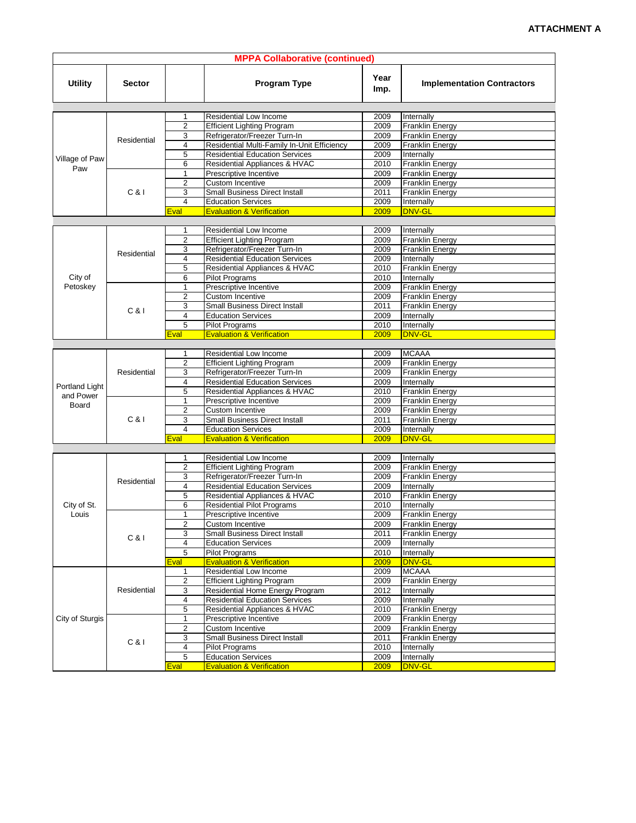| <b>MPPA Collaborative (continued)</b> |               |                         |                                                                       |              |                                   |  |  |
|---------------------------------------|---------------|-------------------------|-----------------------------------------------------------------------|--------------|-----------------------------------|--|--|
| <b>Utility</b>                        | <b>Sector</b> |                         | <b>Program Type</b>                                                   | Year<br>Imp. | <b>Implementation Contractors</b> |  |  |
|                                       |               | 1                       | <b>Residential Low Income</b>                                         | 2009         | Internally                        |  |  |
|                                       |               | $\overline{2}$          | <b>Efficient Lighting Program</b>                                     | 2009         | Franklin Energy                   |  |  |
|                                       |               | 3                       | Refrigerator/Freezer Turn-In                                          | 2009         | <b>Franklin Energy</b>            |  |  |
|                                       | Residential   | 4                       | Residential Multi-Family In-Unit Efficiency                           | 2009         | Franklin Energy                   |  |  |
|                                       |               | 5                       | <b>Residential Education Services</b>                                 | 2009         | Internally                        |  |  |
| Village of Paw                        |               | 6                       | Residential Appliances & HVAC                                         | 2010         | <b>Franklin Energy</b>            |  |  |
| Paw                                   |               | 1                       | Prescriptive Incentive                                                | 2009         | Franklin Energy                   |  |  |
|                                       |               | $\overline{2}$          | Custom Incentive                                                      | 2009         | <b>Franklin Energy</b>            |  |  |
|                                       | C &           | 3                       | <b>Small Business Direct Install</b>                                  | 2011         | Franklin Energy                   |  |  |
|                                       |               | 4                       | <b>Education Services</b>                                             | 2009         | Internally                        |  |  |
|                                       |               | Eval                    | <b>Evaluation &amp; Verification</b>                                  | 2009         | <b>DNV-GL</b>                     |  |  |
|                                       |               |                         |                                                                       |              |                                   |  |  |
|                                       |               | 1                       | Residential Low Income                                                | 2009         | Internally                        |  |  |
|                                       |               | $\overline{2}$          | <b>Efficient Lighting Program</b>                                     | 2009         | <b>Franklin Energy</b>            |  |  |
|                                       | Residential   | 3<br>4                  | Refrigerator/Freezer Turn-In<br><b>Residential Education Services</b> | 2009<br>2009 | Franklin Energy<br>Internally     |  |  |
|                                       |               | 5                       | Residential Appliances & HVAC                                         | 2010         | Franklin Energy                   |  |  |
| City of                               |               | 6                       | <b>Pilot Programs</b>                                                 | 2010         | Internally                        |  |  |
| Petoskey                              |               | 1                       | Prescriptive Incentive                                                | 2009         | <b>Franklin Energy</b>            |  |  |
|                                       |               | $\overline{2}$          | Custom Incentive                                                      | 2009         | <b>Franklin Energy</b>            |  |  |
|                                       |               | 3                       | <b>Small Business Direct Install</b>                                  | 2011         | <b>Franklin Energy</b>            |  |  |
|                                       | C & 1         | 4                       | <b>Education Services</b>                                             | 2009         | Internally                        |  |  |
|                                       |               | 5                       | Pilot Programs                                                        | 2010         | Internally                        |  |  |
|                                       |               | Eval                    | <b>Evaluation &amp; Verification</b>                                  | 2009         | <b>DNV-GL</b>                     |  |  |
|                                       |               |                         |                                                                       |              |                                   |  |  |
|                                       | Residential   | 1                       | Residential Low Income                                                | 2009         | <b>MCAAA</b>                      |  |  |
|                                       |               | $\overline{2}$          | <b>Efficient Lighting Program</b>                                     | 2009         | <b>Franklin Energy</b>            |  |  |
|                                       |               | 3                       | Refrigerator/Freezer Turn-In                                          | 2009         | Franklin Energy                   |  |  |
| Portland Light                        |               | $\overline{4}$          | <b>Residential Education Services</b>                                 | 2009         | Internally                        |  |  |
| and Power                             |               | 5                       | Residential Appliances & HVAC                                         | 2010         | Franklin Energy                   |  |  |
| Board                                 |               | 1                       | Prescriptive Incentive                                                | 2009         | Franklin Energy                   |  |  |
|                                       |               | $\overline{2}$          | Custom Incentive                                                      | 2009         | Franklin Energy                   |  |  |
|                                       | C &           | 3                       | Small Business Direct Install                                         | 2011         | <b>Franklin Energy</b>            |  |  |
|                                       |               | 4                       | <b>Education Services</b>                                             | 2009         | Internally                        |  |  |
|                                       |               | Eval                    | <b>Evaluation &amp; Verification</b>                                  | 2009         | <b>DNV-GL</b>                     |  |  |
|                                       |               | 1                       | Residential Low Income                                                | 2009         | Internally                        |  |  |
|                                       |               | $\overline{2}$          | <b>Efficient Lighting Program</b>                                     | 2009         | <b>Franklin Energy</b>            |  |  |
|                                       |               | 3                       | Refrigerator/Freezer Turn-In                                          | 2009         | <b>Franklin Energy</b>            |  |  |
|                                       | Residential   | $\overline{4}$          | <b>Residential Education Services</b>                                 | 2009         | Internally                        |  |  |
|                                       |               | 5                       | Residential Appliances & HVAC                                         | 2010         | <b>Franklin Energy</b>            |  |  |
| City of St.                           |               | 6                       | <b>Residential Pilot Programs</b>                                     | 2010         | Internally                        |  |  |
| Louis                                 |               | 1                       | Prescriptive Incentive                                                | 2009         | <b>Franklin Energy</b>            |  |  |
|                                       |               | $\overline{2}$          | Custom Incentive                                                      | 2009         | <b>Franklin Energy</b>            |  |  |
|                                       | C &           | 3                       | <b>Small Business Direct Install</b>                                  | 2011         | <b>Franklin Energy</b>            |  |  |
|                                       |               | 4                       | <b>Education Services</b>                                             | 2009         | Internally                        |  |  |
|                                       |               | 5                       | <b>Pilot Programs</b>                                                 | 2010         | Internally                        |  |  |
|                                       |               | Eval                    | <b>Evaluation &amp; Verification</b>                                  | 2009         | <b>DNV-GL</b>                     |  |  |
|                                       |               | 1                       | Residential Low Income                                                | 2009         | <b>MCAAA</b>                      |  |  |
|                                       |               | $\overline{\mathbf{c}}$ | <b>Efficient Lighting Program</b>                                     | 2009         | Franklin Energy                   |  |  |
|                                       | Residential   | 3                       | Residential Home Energy Program                                       | 2012         | Internally                        |  |  |
|                                       |               | $\overline{4}$          | <b>Residential Education Services</b>                                 | 2009         | Internally                        |  |  |
|                                       |               | 5                       | Residential Appliances & HVAC                                         | 2010         | Franklin Energy                   |  |  |
| City of Sturgis                       |               | 1                       | Prescriptive Incentive                                                | 2009         | Franklin Energy                   |  |  |
|                                       |               | $\overline{2}$          | Custom Incentive                                                      | 2009         | Franklin Energy                   |  |  |
|                                       | C &           | 3                       | <b>Small Business Direct Install</b>                                  | 2011         | Franklin Energy                   |  |  |
|                                       |               | $\overline{4}$          | <b>Pilot Programs</b>                                                 | 2010         | Internally                        |  |  |
|                                       |               | 5                       | <b>Education Services</b><br><b>Evaluation &amp; Verification</b>     | 2009         | Internally<br><b>DNV-GL</b>       |  |  |
|                                       |               | Eval                    |                                                                       | 2009         |                                   |  |  |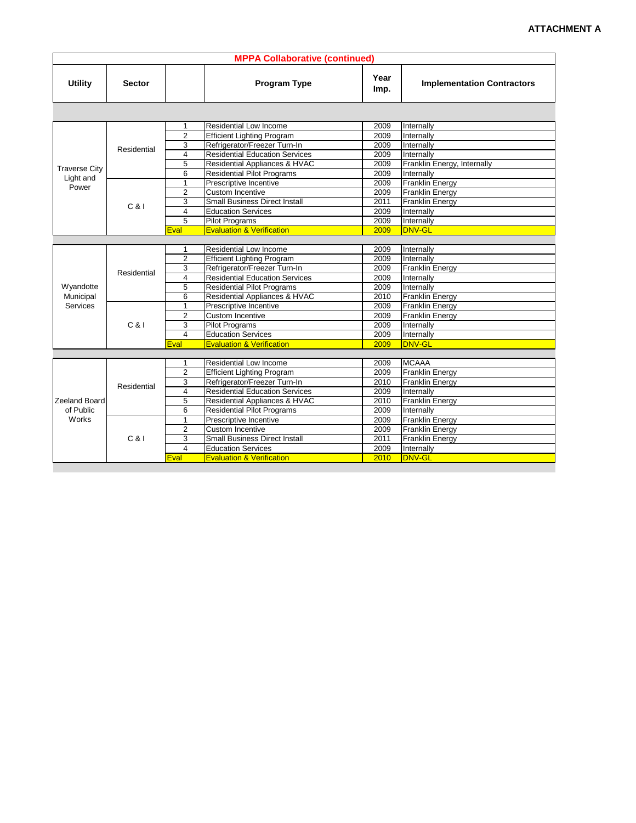| Year<br><b>Utility</b><br>Program Type<br><b>Sector</b><br><b>Implementation Contractors</b><br>Imp.<br>Residential Low Income<br>2009<br>Internally<br>1<br>$\overline{2}$<br><b>Efficient Lighting Program</b><br>2009<br>Internally<br>3<br>Refrigerator/Freezer Turn-In<br>2009<br>Internally<br>Residential<br>$\overline{4}$<br><b>Residential Education Services</b><br>2009<br>Internally<br>5<br>Residential Appliances & HVAC<br>Franklin Energy, Internally<br>2009<br><b>Traverse City</b><br>6<br><b>Residential Pilot Programs</b><br>2009<br>Internally<br>Light and<br>2009<br>1<br>Prescriptive Incentive<br><b>Franklin Energy</b><br>Power<br>$\overline{2}$<br><b>Custom Incentive</b><br>Franklin Energy<br>2009<br>3<br><b>Small Business Direct Install</b><br>2011<br><b>Franklin Energy</b><br>$C_8$  <br>Internally<br>4<br><b>Education Services</b><br>2009<br>5<br>Pilot Programs<br>2009<br>Internally<br><b>DNV-GL</b><br>Eval<br><b>Evaluation &amp; Verification</b><br>2009<br><b>Residential Low Income</b><br>2009<br>Internally<br>1<br>$\overline{2}$<br><b>Efficient Lighting Program</b><br>2009<br>Internally<br>3<br>Refrigerator/Freezer Turn-In<br>2009<br><b>Franklin Energy</b><br>Residential<br>$\overline{4}$<br><b>Residential Education Services</b><br>2009<br>Internally<br>5<br>Wyandotte<br><b>Residential Pilot Programs</b><br>2009<br>Internally<br>Municipal<br>6<br>Residential Appliances & HVAC<br>2010<br><b>Franklin Energy</b><br>Services<br>2009<br>Prescriptive Incentive<br><b>Franklin Energy</b><br>1<br>$\overline{2}$<br>Franklin Energy<br><b>Custom Incentive</b><br>2009<br>$C_8$<br>3<br>2009<br><b>Pilot Programs</b><br>Internally<br><b>Education Services</b><br>Internally<br>4<br>2009<br><b>DNV-GL</b><br><b>Evaluation &amp; Verification</b><br>2009<br>Eval<br><b>MCAAA</b><br><b>Residential Low Income</b><br>2009<br>1<br>$\overline{2}$<br>2009<br>Franklin Energy<br><b>Efficient Lighting Program</b><br>3<br>Refrigerator/Freezer Turn-In<br>2010<br><b>Franklin Energy</b><br>Residential<br>$\overline{4}$<br><b>Residential Education Services</b><br><b>Internally</b><br>2009<br>5<br>Zeeland Board<br>Residential Appliances & HVAC<br>2010<br><b>Franklin Energy</b><br>of Public<br>6<br><b>Residential Pilot Programs</b><br>2009<br>Internally<br>Works<br>2009<br>1<br>Prescriptive Incentive<br><b>Franklin Energy</b><br>$\overline{2}$<br>2009<br><b>Custom Incentive</b><br><b>Franklin Energy</b><br>$C_8$  <br>3<br><b>Small Business Direct Install</b><br>2011<br><b>Franklin Energy</b><br>4<br><b>Education Services</b><br>2009<br>Internally<br>2010<br><b>DNV-GL</b><br><b>Evaluation &amp; Verification</b><br>Eval | <b>MPPA Collaborative (continued)</b> |  |  |  |  |  |  |  |
|--------------------------------------------------------------------------------------------------------------------------------------------------------------------------------------------------------------------------------------------------------------------------------------------------------------------------------------------------------------------------------------------------------------------------------------------------------------------------------------------------------------------------------------------------------------------------------------------------------------------------------------------------------------------------------------------------------------------------------------------------------------------------------------------------------------------------------------------------------------------------------------------------------------------------------------------------------------------------------------------------------------------------------------------------------------------------------------------------------------------------------------------------------------------------------------------------------------------------------------------------------------------------------------------------------------------------------------------------------------------------------------------------------------------------------------------------------------------------------------------------------------------------------------------------------------------------------------------------------------------------------------------------------------------------------------------------------------------------------------------------------------------------------------------------------------------------------------------------------------------------------------------------------------------------------------------------------------------------------------------------------------------------------------------------------------------------------------------------------------------------------------------------------------------------------------------------------------------------------------------------------------------------------------------------------------------------------------------------------------------------------------------------------------------------------------------------------------------------------------------------------------------------------------------------------------------------------------------------------------------------------------------------------------------------------------------------------------------------------------------|---------------------------------------|--|--|--|--|--|--|--|
|                                                                                                                                                                                                                                                                                                                                                                                                                                                                                                                                                                                                                                                                                                                                                                                                                                                                                                                                                                                                                                                                                                                                                                                                                                                                                                                                                                                                                                                                                                                                                                                                                                                                                                                                                                                                                                                                                                                                                                                                                                                                                                                                                                                                                                                                                                                                                                                                                                                                                                                                                                                                                                                                                                                                            |                                       |  |  |  |  |  |  |  |
|                                                                                                                                                                                                                                                                                                                                                                                                                                                                                                                                                                                                                                                                                                                                                                                                                                                                                                                                                                                                                                                                                                                                                                                                                                                                                                                                                                                                                                                                                                                                                                                                                                                                                                                                                                                                                                                                                                                                                                                                                                                                                                                                                                                                                                                                                                                                                                                                                                                                                                                                                                                                                                                                                                                                            |                                       |  |  |  |  |  |  |  |
|                                                                                                                                                                                                                                                                                                                                                                                                                                                                                                                                                                                                                                                                                                                                                                                                                                                                                                                                                                                                                                                                                                                                                                                                                                                                                                                                                                                                                                                                                                                                                                                                                                                                                                                                                                                                                                                                                                                                                                                                                                                                                                                                                                                                                                                                                                                                                                                                                                                                                                                                                                                                                                                                                                                                            |                                       |  |  |  |  |  |  |  |
|                                                                                                                                                                                                                                                                                                                                                                                                                                                                                                                                                                                                                                                                                                                                                                                                                                                                                                                                                                                                                                                                                                                                                                                                                                                                                                                                                                                                                                                                                                                                                                                                                                                                                                                                                                                                                                                                                                                                                                                                                                                                                                                                                                                                                                                                                                                                                                                                                                                                                                                                                                                                                                                                                                                                            |                                       |  |  |  |  |  |  |  |
|                                                                                                                                                                                                                                                                                                                                                                                                                                                                                                                                                                                                                                                                                                                                                                                                                                                                                                                                                                                                                                                                                                                                                                                                                                                                                                                                                                                                                                                                                                                                                                                                                                                                                                                                                                                                                                                                                                                                                                                                                                                                                                                                                                                                                                                                                                                                                                                                                                                                                                                                                                                                                                                                                                                                            |                                       |  |  |  |  |  |  |  |
|                                                                                                                                                                                                                                                                                                                                                                                                                                                                                                                                                                                                                                                                                                                                                                                                                                                                                                                                                                                                                                                                                                                                                                                                                                                                                                                                                                                                                                                                                                                                                                                                                                                                                                                                                                                                                                                                                                                                                                                                                                                                                                                                                                                                                                                                                                                                                                                                                                                                                                                                                                                                                                                                                                                                            |                                       |  |  |  |  |  |  |  |
|                                                                                                                                                                                                                                                                                                                                                                                                                                                                                                                                                                                                                                                                                                                                                                                                                                                                                                                                                                                                                                                                                                                                                                                                                                                                                                                                                                                                                                                                                                                                                                                                                                                                                                                                                                                                                                                                                                                                                                                                                                                                                                                                                                                                                                                                                                                                                                                                                                                                                                                                                                                                                                                                                                                                            |                                       |  |  |  |  |  |  |  |
|                                                                                                                                                                                                                                                                                                                                                                                                                                                                                                                                                                                                                                                                                                                                                                                                                                                                                                                                                                                                                                                                                                                                                                                                                                                                                                                                                                                                                                                                                                                                                                                                                                                                                                                                                                                                                                                                                                                                                                                                                                                                                                                                                                                                                                                                                                                                                                                                                                                                                                                                                                                                                                                                                                                                            |                                       |  |  |  |  |  |  |  |
|                                                                                                                                                                                                                                                                                                                                                                                                                                                                                                                                                                                                                                                                                                                                                                                                                                                                                                                                                                                                                                                                                                                                                                                                                                                                                                                                                                                                                                                                                                                                                                                                                                                                                                                                                                                                                                                                                                                                                                                                                                                                                                                                                                                                                                                                                                                                                                                                                                                                                                                                                                                                                                                                                                                                            |                                       |  |  |  |  |  |  |  |
|                                                                                                                                                                                                                                                                                                                                                                                                                                                                                                                                                                                                                                                                                                                                                                                                                                                                                                                                                                                                                                                                                                                                                                                                                                                                                                                                                                                                                                                                                                                                                                                                                                                                                                                                                                                                                                                                                                                                                                                                                                                                                                                                                                                                                                                                                                                                                                                                                                                                                                                                                                                                                                                                                                                                            |                                       |  |  |  |  |  |  |  |
|                                                                                                                                                                                                                                                                                                                                                                                                                                                                                                                                                                                                                                                                                                                                                                                                                                                                                                                                                                                                                                                                                                                                                                                                                                                                                                                                                                                                                                                                                                                                                                                                                                                                                                                                                                                                                                                                                                                                                                                                                                                                                                                                                                                                                                                                                                                                                                                                                                                                                                                                                                                                                                                                                                                                            |                                       |  |  |  |  |  |  |  |
|                                                                                                                                                                                                                                                                                                                                                                                                                                                                                                                                                                                                                                                                                                                                                                                                                                                                                                                                                                                                                                                                                                                                                                                                                                                                                                                                                                                                                                                                                                                                                                                                                                                                                                                                                                                                                                                                                                                                                                                                                                                                                                                                                                                                                                                                                                                                                                                                                                                                                                                                                                                                                                                                                                                                            |                                       |  |  |  |  |  |  |  |
|                                                                                                                                                                                                                                                                                                                                                                                                                                                                                                                                                                                                                                                                                                                                                                                                                                                                                                                                                                                                                                                                                                                                                                                                                                                                                                                                                                                                                                                                                                                                                                                                                                                                                                                                                                                                                                                                                                                                                                                                                                                                                                                                                                                                                                                                                                                                                                                                                                                                                                                                                                                                                                                                                                                                            |                                       |  |  |  |  |  |  |  |
|                                                                                                                                                                                                                                                                                                                                                                                                                                                                                                                                                                                                                                                                                                                                                                                                                                                                                                                                                                                                                                                                                                                                                                                                                                                                                                                                                                                                                                                                                                                                                                                                                                                                                                                                                                                                                                                                                                                                                                                                                                                                                                                                                                                                                                                                                                                                                                                                                                                                                                                                                                                                                                                                                                                                            |                                       |  |  |  |  |  |  |  |
|                                                                                                                                                                                                                                                                                                                                                                                                                                                                                                                                                                                                                                                                                                                                                                                                                                                                                                                                                                                                                                                                                                                                                                                                                                                                                                                                                                                                                                                                                                                                                                                                                                                                                                                                                                                                                                                                                                                                                                                                                                                                                                                                                                                                                                                                                                                                                                                                                                                                                                                                                                                                                                                                                                                                            |                                       |  |  |  |  |  |  |  |
|                                                                                                                                                                                                                                                                                                                                                                                                                                                                                                                                                                                                                                                                                                                                                                                                                                                                                                                                                                                                                                                                                                                                                                                                                                                                                                                                                                                                                                                                                                                                                                                                                                                                                                                                                                                                                                                                                                                                                                                                                                                                                                                                                                                                                                                                                                                                                                                                                                                                                                                                                                                                                                                                                                                                            |                                       |  |  |  |  |  |  |  |
|                                                                                                                                                                                                                                                                                                                                                                                                                                                                                                                                                                                                                                                                                                                                                                                                                                                                                                                                                                                                                                                                                                                                                                                                                                                                                                                                                                                                                                                                                                                                                                                                                                                                                                                                                                                                                                                                                                                                                                                                                                                                                                                                                                                                                                                                                                                                                                                                                                                                                                                                                                                                                                                                                                                                            |                                       |  |  |  |  |  |  |  |
|                                                                                                                                                                                                                                                                                                                                                                                                                                                                                                                                                                                                                                                                                                                                                                                                                                                                                                                                                                                                                                                                                                                                                                                                                                                                                                                                                                                                                                                                                                                                                                                                                                                                                                                                                                                                                                                                                                                                                                                                                                                                                                                                                                                                                                                                                                                                                                                                                                                                                                                                                                                                                                                                                                                                            |                                       |  |  |  |  |  |  |  |
|                                                                                                                                                                                                                                                                                                                                                                                                                                                                                                                                                                                                                                                                                                                                                                                                                                                                                                                                                                                                                                                                                                                                                                                                                                                                                                                                                                                                                                                                                                                                                                                                                                                                                                                                                                                                                                                                                                                                                                                                                                                                                                                                                                                                                                                                                                                                                                                                                                                                                                                                                                                                                                                                                                                                            |                                       |  |  |  |  |  |  |  |
|                                                                                                                                                                                                                                                                                                                                                                                                                                                                                                                                                                                                                                                                                                                                                                                                                                                                                                                                                                                                                                                                                                                                                                                                                                                                                                                                                                                                                                                                                                                                                                                                                                                                                                                                                                                                                                                                                                                                                                                                                                                                                                                                                                                                                                                                                                                                                                                                                                                                                                                                                                                                                                                                                                                                            |                                       |  |  |  |  |  |  |  |
|                                                                                                                                                                                                                                                                                                                                                                                                                                                                                                                                                                                                                                                                                                                                                                                                                                                                                                                                                                                                                                                                                                                                                                                                                                                                                                                                                                                                                                                                                                                                                                                                                                                                                                                                                                                                                                                                                                                                                                                                                                                                                                                                                                                                                                                                                                                                                                                                                                                                                                                                                                                                                                                                                                                                            |                                       |  |  |  |  |  |  |  |
|                                                                                                                                                                                                                                                                                                                                                                                                                                                                                                                                                                                                                                                                                                                                                                                                                                                                                                                                                                                                                                                                                                                                                                                                                                                                                                                                                                                                                                                                                                                                                                                                                                                                                                                                                                                                                                                                                                                                                                                                                                                                                                                                                                                                                                                                                                                                                                                                                                                                                                                                                                                                                                                                                                                                            |                                       |  |  |  |  |  |  |  |
|                                                                                                                                                                                                                                                                                                                                                                                                                                                                                                                                                                                                                                                                                                                                                                                                                                                                                                                                                                                                                                                                                                                                                                                                                                                                                                                                                                                                                                                                                                                                                                                                                                                                                                                                                                                                                                                                                                                                                                                                                                                                                                                                                                                                                                                                                                                                                                                                                                                                                                                                                                                                                                                                                                                                            |                                       |  |  |  |  |  |  |  |
|                                                                                                                                                                                                                                                                                                                                                                                                                                                                                                                                                                                                                                                                                                                                                                                                                                                                                                                                                                                                                                                                                                                                                                                                                                                                                                                                                                                                                                                                                                                                                                                                                                                                                                                                                                                                                                                                                                                                                                                                                                                                                                                                                                                                                                                                                                                                                                                                                                                                                                                                                                                                                                                                                                                                            |                                       |  |  |  |  |  |  |  |
|                                                                                                                                                                                                                                                                                                                                                                                                                                                                                                                                                                                                                                                                                                                                                                                                                                                                                                                                                                                                                                                                                                                                                                                                                                                                                                                                                                                                                                                                                                                                                                                                                                                                                                                                                                                                                                                                                                                                                                                                                                                                                                                                                                                                                                                                                                                                                                                                                                                                                                                                                                                                                                                                                                                                            |                                       |  |  |  |  |  |  |  |
|                                                                                                                                                                                                                                                                                                                                                                                                                                                                                                                                                                                                                                                                                                                                                                                                                                                                                                                                                                                                                                                                                                                                                                                                                                                                                                                                                                                                                                                                                                                                                                                                                                                                                                                                                                                                                                                                                                                                                                                                                                                                                                                                                                                                                                                                                                                                                                                                                                                                                                                                                                                                                                                                                                                                            |                                       |  |  |  |  |  |  |  |
|                                                                                                                                                                                                                                                                                                                                                                                                                                                                                                                                                                                                                                                                                                                                                                                                                                                                                                                                                                                                                                                                                                                                                                                                                                                                                                                                                                                                                                                                                                                                                                                                                                                                                                                                                                                                                                                                                                                                                                                                                                                                                                                                                                                                                                                                                                                                                                                                                                                                                                                                                                                                                                                                                                                                            |                                       |  |  |  |  |  |  |  |
|                                                                                                                                                                                                                                                                                                                                                                                                                                                                                                                                                                                                                                                                                                                                                                                                                                                                                                                                                                                                                                                                                                                                                                                                                                                                                                                                                                                                                                                                                                                                                                                                                                                                                                                                                                                                                                                                                                                                                                                                                                                                                                                                                                                                                                                                                                                                                                                                                                                                                                                                                                                                                                                                                                                                            |                                       |  |  |  |  |  |  |  |
|                                                                                                                                                                                                                                                                                                                                                                                                                                                                                                                                                                                                                                                                                                                                                                                                                                                                                                                                                                                                                                                                                                                                                                                                                                                                                                                                                                                                                                                                                                                                                                                                                                                                                                                                                                                                                                                                                                                                                                                                                                                                                                                                                                                                                                                                                                                                                                                                                                                                                                                                                                                                                                                                                                                                            |                                       |  |  |  |  |  |  |  |
|                                                                                                                                                                                                                                                                                                                                                                                                                                                                                                                                                                                                                                                                                                                                                                                                                                                                                                                                                                                                                                                                                                                                                                                                                                                                                                                                                                                                                                                                                                                                                                                                                                                                                                                                                                                                                                                                                                                                                                                                                                                                                                                                                                                                                                                                                                                                                                                                                                                                                                                                                                                                                                                                                                                                            |                                       |  |  |  |  |  |  |  |
|                                                                                                                                                                                                                                                                                                                                                                                                                                                                                                                                                                                                                                                                                                                                                                                                                                                                                                                                                                                                                                                                                                                                                                                                                                                                                                                                                                                                                                                                                                                                                                                                                                                                                                                                                                                                                                                                                                                                                                                                                                                                                                                                                                                                                                                                                                                                                                                                                                                                                                                                                                                                                                                                                                                                            |                                       |  |  |  |  |  |  |  |
|                                                                                                                                                                                                                                                                                                                                                                                                                                                                                                                                                                                                                                                                                                                                                                                                                                                                                                                                                                                                                                                                                                                                                                                                                                                                                                                                                                                                                                                                                                                                                                                                                                                                                                                                                                                                                                                                                                                                                                                                                                                                                                                                                                                                                                                                                                                                                                                                                                                                                                                                                                                                                                                                                                                                            |                                       |  |  |  |  |  |  |  |
|                                                                                                                                                                                                                                                                                                                                                                                                                                                                                                                                                                                                                                                                                                                                                                                                                                                                                                                                                                                                                                                                                                                                                                                                                                                                                                                                                                                                                                                                                                                                                                                                                                                                                                                                                                                                                                                                                                                                                                                                                                                                                                                                                                                                                                                                                                                                                                                                                                                                                                                                                                                                                                                                                                                                            |                                       |  |  |  |  |  |  |  |
|                                                                                                                                                                                                                                                                                                                                                                                                                                                                                                                                                                                                                                                                                                                                                                                                                                                                                                                                                                                                                                                                                                                                                                                                                                                                                                                                                                                                                                                                                                                                                                                                                                                                                                                                                                                                                                                                                                                                                                                                                                                                                                                                                                                                                                                                                                                                                                                                                                                                                                                                                                                                                                                                                                                                            |                                       |  |  |  |  |  |  |  |
|                                                                                                                                                                                                                                                                                                                                                                                                                                                                                                                                                                                                                                                                                                                                                                                                                                                                                                                                                                                                                                                                                                                                                                                                                                                                                                                                                                                                                                                                                                                                                                                                                                                                                                                                                                                                                                                                                                                                                                                                                                                                                                                                                                                                                                                                                                                                                                                                                                                                                                                                                                                                                                                                                                                                            |                                       |  |  |  |  |  |  |  |
|                                                                                                                                                                                                                                                                                                                                                                                                                                                                                                                                                                                                                                                                                                                                                                                                                                                                                                                                                                                                                                                                                                                                                                                                                                                                                                                                                                                                                                                                                                                                                                                                                                                                                                                                                                                                                                                                                                                                                                                                                                                                                                                                                                                                                                                                                                                                                                                                                                                                                                                                                                                                                                                                                                                                            |                                       |  |  |  |  |  |  |  |
|                                                                                                                                                                                                                                                                                                                                                                                                                                                                                                                                                                                                                                                                                                                                                                                                                                                                                                                                                                                                                                                                                                                                                                                                                                                                                                                                                                                                                                                                                                                                                                                                                                                                                                                                                                                                                                                                                                                                                                                                                                                                                                                                                                                                                                                                                                                                                                                                                                                                                                                                                                                                                                                                                                                                            |                                       |  |  |  |  |  |  |  |
|                                                                                                                                                                                                                                                                                                                                                                                                                                                                                                                                                                                                                                                                                                                                                                                                                                                                                                                                                                                                                                                                                                                                                                                                                                                                                                                                                                                                                                                                                                                                                                                                                                                                                                                                                                                                                                                                                                                                                                                                                                                                                                                                                                                                                                                                                                                                                                                                                                                                                                                                                                                                                                                                                                                                            |                                       |  |  |  |  |  |  |  |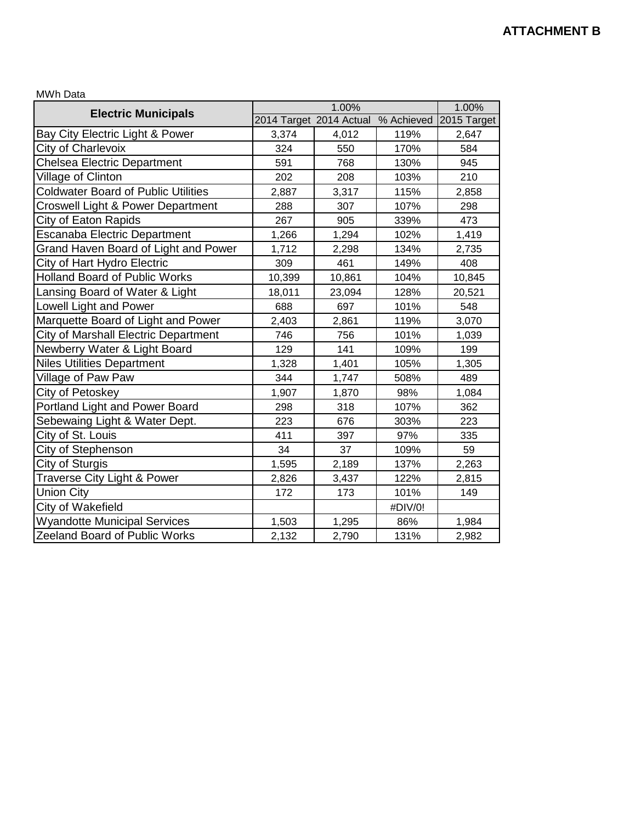#### MWh Data

|                                            |                         | 1.00%  |            |             |
|--------------------------------------------|-------------------------|--------|------------|-------------|
| <b>Electric Municipals</b>                 | 2014 Target 2014 Actual |        | % Achieved | 2015 Target |
| Bay City Electric Light & Power            | 3,374                   | 4,012  | 119%       | 2,647       |
| City of Charlevoix                         | 324                     | 550    | 170%       | 584         |
| <b>Chelsea Electric Department</b>         | 591                     | 768    | 130%       | 945         |
| Village of Clinton                         | 202                     | 208    | 103%       | 210         |
| <b>Coldwater Board of Public Utilities</b> | 2,887                   | 3,317  | 115%       | 2,858       |
| Croswell Light & Power Department          | 288                     | 307    | 107%       | 298         |
| City of Eaton Rapids                       | 267                     | 905    | 339%       | 473         |
| <b>Escanaba Electric Department</b>        | 1,266                   | 1,294  | 102%       | 1,419       |
| Grand Haven Board of Light and Power       | 1,712                   | 2,298  | 134%       | 2,735       |
| City of Hart Hydro Electric                | 309                     | 461    | 149%       | 408         |
| <b>Holland Board of Public Works</b>       | 10,399                  | 10,861 | 104%       | 10,845      |
| Lansing Board of Water & Light             | 18,011                  | 23,094 | 128%       | 20,521      |
| Lowell Light and Power                     | 688                     | 697    | 101%       | 548         |
| Marquette Board of Light and Power         | 2,403                   | 2,861  | 119%       | 3,070       |
| City of Marshall Electric Department       | 746                     | 756    | 101%       | 1,039       |
| Newberry Water & Light Board               | 129                     | 141    | 109%       | 199         |
| <b>Niles Utilities Department</b>          | 1,328                   | 1,401  | 105%       | 1,305       |
| Village of Paw Paw                         | 344                     | 1,747  | 508%       | 489         |
| City of Petoskey                           | 1,907                   | 1,870  | 98%        | 1,084       |
| Portland Light and Power Board             | 298                     | 318    | 107%       | 362         |
| Sebewaing Light & Water Dept.              | 223                     | 676    | 303%       | 223         |
| City of St. Louis                          | 411                     | 397    | 97%        | 335         |
| City of Stephenson                         | 34                      | 37     | 109%       | 59          |
| City of Sturgis                            | 1,595                   | 2,189  | 137%       | 2,263       |
| Traverse City Light & Power                | 2,826                   | 3,437  | 122%       | 2,815       |
| <b>Union City</b>                          | 172                     | 173    | 101%       | 149         |
| City of Wakefield                          |                         |        | #DIV/0!    |             |
| <b>Wyandotte Municipal Services</b>        | 1,503                   | 1,295  | 86%        | 1,984       |
| Zeeland Board of Public Works              | 2,132                   | 2,790  | 131%       | 2,982       |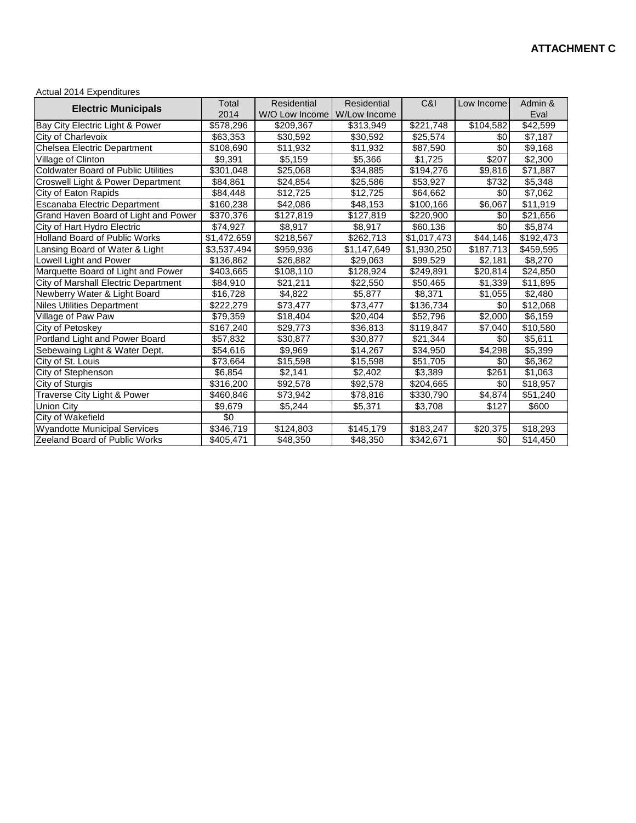#### Actual 2014 Expenditures

|                                            | Total                   | Residential         | <b>Residential</b>   | C&I                  | Low Income      | Admin &              |
|--------------------------------------------|-------------------------|---------------------|----------------------|----------------------|-----------------|----------------------|
| <b>Electric Municipals</b>                 | 2014                    | W/O Low Income      | W/Low Income         |                      |                 | Eval                 |
| Bay City Electric Light & Power            | \$578,296               | \$209,367           | \$313,949            | \$221,748            | \$104,582       | $\overline{$}42,599$ |
| City of Charlevoix                         | \$63,353                | \$30,592            | \$30,592             | \$25,574             | \$0             | \$7,187              |
| Chelsea Electric Department                | \$108,690               | \$11,932            | \$11,932             | \$87,590             | $\sqrt{6}$      | \$9,168              |
| Village of Clinton                         | \$9,391                 | \$5,159             | \$5,366              | \$1,725              | \$207           | $\overline{$}2,300$  |
| <b>Coldwater Board of Public Utilities</b> | \$301,048               | \$25,068            | \$34,885             | \$194,276            | \$9,816         | \$71,887             |
| Croswell Light & Power Department          | \$84,861                | \$24,854            | \$25,586             | \$53,927             | \$732           | \$5,348              |
| City of Eaton Rapids                       | \$84,448                | \$12,725            | \$12,725             | \$64,662             | \$0             | \$7,062              |
| Escanaba Electric Department               | \$160,238               | \$42,086            | \$48,153             | \$100,166            | \$6,067         | \$11,919             |
| Grand Haven Board of Light and Power       | \$370,376               | \$127,819           | \$127,819            | \$220,900            | \$0             | \$21,656             |
| City of Hart Hydro Electric                | \$74,927                | \$8,917             | \$8,917              | \$60,136             | $\overline{30}$ | \$5,874              |
| <b>Holland Board of Public Works</b>       | \$1,472,659             | \$218,567           | \$262,713            | \$1,017,473          | \$44,146        | \$192,473            |
| Lansing Board of Water & Light             | $\overline{$3,537,494}$ | \$959,936           | \$1,147,649          | \$1,930,250          | \$187,713       | \$459,595            |
| Lowell Light and Power                     | \$136,862               | \$26,882            | \$29,063             | \$99,529             | \$2,181         | \$8,270              |
| Marquette Board of Light and Power         | \$403,665               | \$108,110           | \$128,924            | \$249,891            | \$20,814        | \$24,850             |
| City of Marshall Electric Department       | \$84,910                | \$21,211            | \$22,550             | $\overline{$}50,465$ | \$1,339         | \$11,895             |
| Newberry Water & Light Board               | \$16,728                | \$4,822             | \$5,877              | \$8,371              | \$1,055         | \$2,480              |
| <b>Niles Utilities Department</b>          | \$222,279               | \$73,477            | \$73,477             | \$136,734            | \$0             | \$12,068             |
| Village of Paw Paw                         | \$79,359                | \$18,404            | \$20,404             | \$52,796             | \$2,000         | \$6,159              |
| City of Petoskey                           | \$167,240               | \$29,773            | \$36,813             | \$119,847            | \$7,040         | \$10,580             |
| Portland Light and Power Board             | $\overline{$}57,832$    | \$30,877            | \$30,877             | \$21,344             | \$0             | \$5,611              |
| Sebewaing Light & Water Dept.              | \$54,616                | $\overline{$9,969}$ | \$14,267             | \$34,950             | \$4,298         | \$5,399              |
| City of St. Louis                          | \$73,664                | \$15,598            | \$15,598             | \$51,705             | \$0             | \$6,362              |
| City of Stephenson                         | \$6,854                 | \$2,141             | \$2,402              | \$3,389              | \$261           | \$1,063              |
| City of Sturgis                            | \$316,200               | \$92,578            | $\overline{$}92,578$ | \$204,665            | \$0             | $\overline{$}18,957$ |
| Traverse City Light & Power                | \$460,846               | \$73,942            | \$78,816             | \$330,790            | \$4,874         | \$51,240             |
| <b>Union City</b>                          | \$9,679                 | \$5,244             | \$5,371              | \$3,708              | \$127           | \$600                |
| City of Wakefield                          | \$0                     |                     |                      |                      |                 |                      |
| <b>Wyandotte Municipal Services</b>        | \$346,719               | \$124,803           | \$145,179            | \$183,247            | \$20,375        | \$18,293             |
| Zeeland Board of Public Works              | \$405,471               | \$48,350            | \$48,350             | \$342,671            | \$0             | \$14,450             |